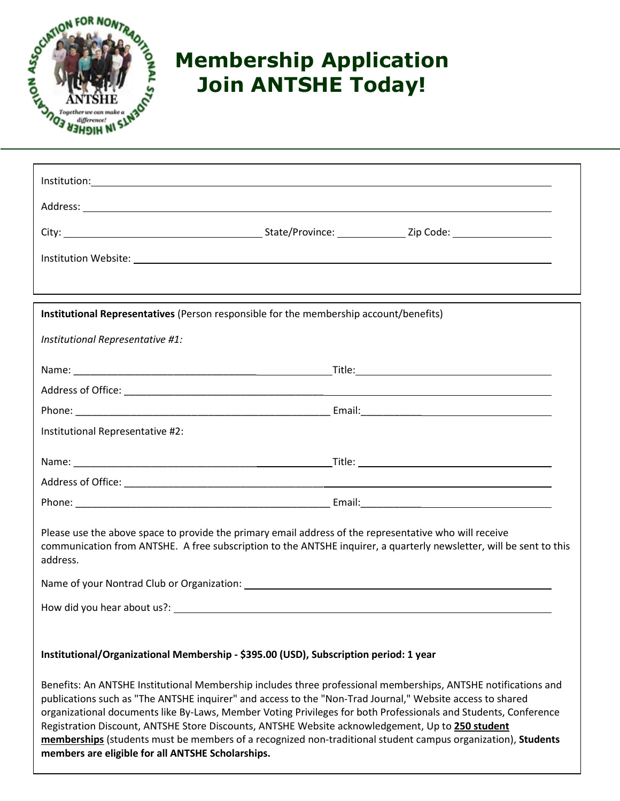

## **Membership Application Join ANTSHE Today!**

| Institutional Representatives (Person responsible for the membership account/benefits)                                                                                                                                                                                                                                                                                                                                                                                                                                                                                                                                  |  |  |
|-------------------------------------------------------------------------------------------------------------------------------------------------------------------------------------------------------------------------------------------------------------------------------------------------------------------------------------------------------------------------------------------------------------------------------------------------------------------------------------------------------------------------------------------------------------------------------------------------------------------------|--|--|
| Institutional Representative #1:                                                                                                                                                                                                                                                                                                                                                                                                                                                                                                                                                                                        |  |  |
|                                                                                                                                                                                                                                                                                                                                                                                                                                                                                                                                                                                                                         |  |  |
|                                                                                                                                                                                                                                                                                                                                                                                                                                                                                                                                                                                                                         |  |  |
|                                                                                                                                                                                                                                                                                                                                                                                                                                                                                                                                                                                                                         |  |  |
| Institutional Representative #2:                                                                                                                                                                                                                                                                                                                                                                                                                                                                                                                                                                                        |  |  |
|                                                                                                                                                                                                                                                                                                                                                                                                                                                                                                                                                                                                                         |  |  |
|                                                                                                                                                                                                                                                                                                                                                                                                                                                                                                                                                                                                                         |  |  |
|                                                                                                                                                                                                                                                                                                                                                                                                                                                                                                                                                                                                                         |  |  |
| Please use the above space to provide the primary email address of the representative who will receive<br>communication from ANTSHE. A free subscription to the ANTSHE inquirer, a quarterly newsletter, will be sent to this<br>address.                                                                                                                                                                                                                                                                                                                                                                               |  |  |
|                                                                                                                                                                                                                                                                                                                                                                                                                                                                                                                                                                                                                         |  |  |
| How did you hear about us?:                                                                                                                                                                                                                                                                                                                                                                                                                                                                                                                                                                                             |  |  |
|                                                                                                                                                                                                                                                                                                                                                                                                                                                                                                                                                                                                                         |  |  |
| Institutional/Organizational Membership - \$395.00 (USD), Subscription period: 1 year                                                                                                                                                                                                                                                                                                                                                                                                                                                                                                                                   |  |  |
| Benefits: An ANTSHE Institutional Membership includes three professional memberships, ANTSHE notifications and<br>publications such as "The ANTSHE inquirer" and access to the "Non-Trad Journal," Website access to shared<br>organizational documents like By-Laws, Member Voting Privileges for both Professionals and Students, Conference<br>Registration Discount, ANTSHE Store Discounts, ANTSHE Website acknowledgement, Up to 250 student<br>memberships (students must be members of a recognized non-traditional student campus organization), Students<br>members are eligible for all ANTSHE Scholarships. |  |  |